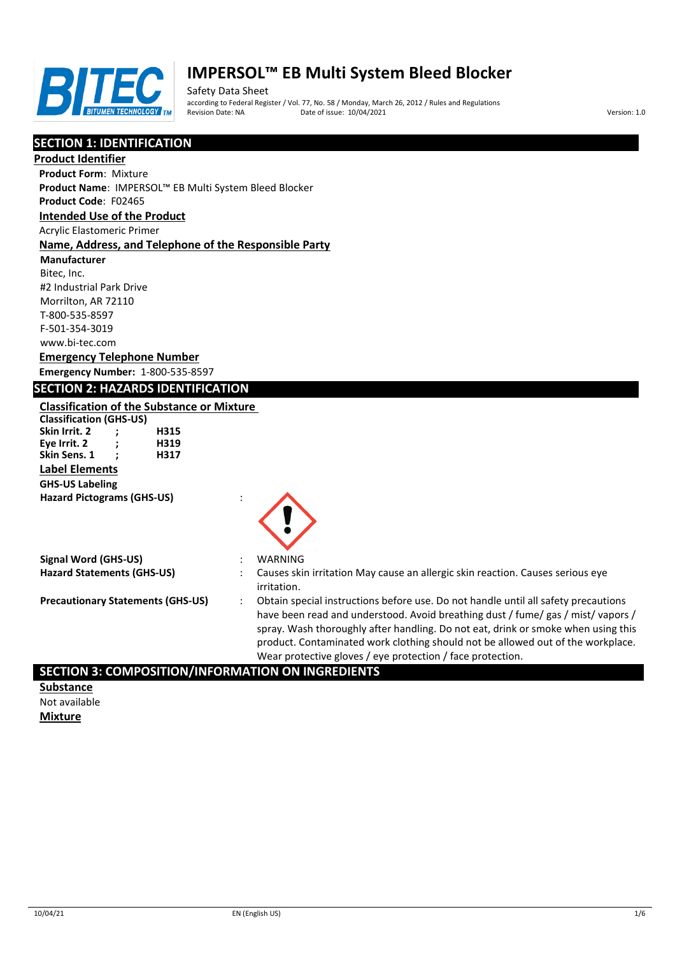

Safety Data Sheet according to Federal Register / Vol. 77, No. 58 / Monday, March 26, 2012 / Rules and Regulations Pate of issue: 10/04/2021 **Version: 1.0** 

# **SECTION 1: IDENTIFICATION**

#### **Product Identifier**

**Product Form**: Mixture

**Product Name**: IMPERSOL™ EB Multi System Bleed Blocker

#### **Product Code**: F02465

#### **Intended Use of the Product**

Acrylic Elastomeric Primer

#### **Name, Address, and Telephone of the Responsible Party**

**Manufacturer** Bitec, Inc. #2 Industrial Park Drive Morrilton, AR 72110 T-800-535-8597 F-501-354-3019

# www.bi-tec.com **Emergency Telephone Number**

**Emergency Number:** 1-800-535-8597

# **SECTION 2: HAZARDS IDENTIFICATION**

# **Classification of the Substance or Mixture**

**Classification (GHS-US) Skin Irrit. 2 ; H315 Eye Irrit. 2 ; H319 Skin Sens. 1 Label Elements GHS-US Labeling Hazard Pictograms (GHS-US)** :

|                                   | $\sum_{i=1}^{n}$                                                                              |
|-----------------------------------|-----------------------------------------------------------------------------------------------|
| Signal Word (GHS-US)              | WARNING                                                                                       |
| <b>Hazard Statements (GHS-US)</b> | Causes skin irritation May cause an allergic skin reaction. Causes serious eve<br>irritation. |

**Precautionary Statements (GHS-US)** : Obtain special instructions before use. Do not handle until all safety precautions have been read and understood. Avoid breathing dust / fume/ gas / mist/ vapors / spray. Wash thoroughly after handling. Do not eat, drink or smoke when using this product. Contaminated work clothing should not be allowed out of the workplace. Wear protective gloves / eye protection / face protection.

# **SECTION 3: COMPOSITION/INFORMATION ON INGREDIENTS**

**Substance** Not available **Mixture**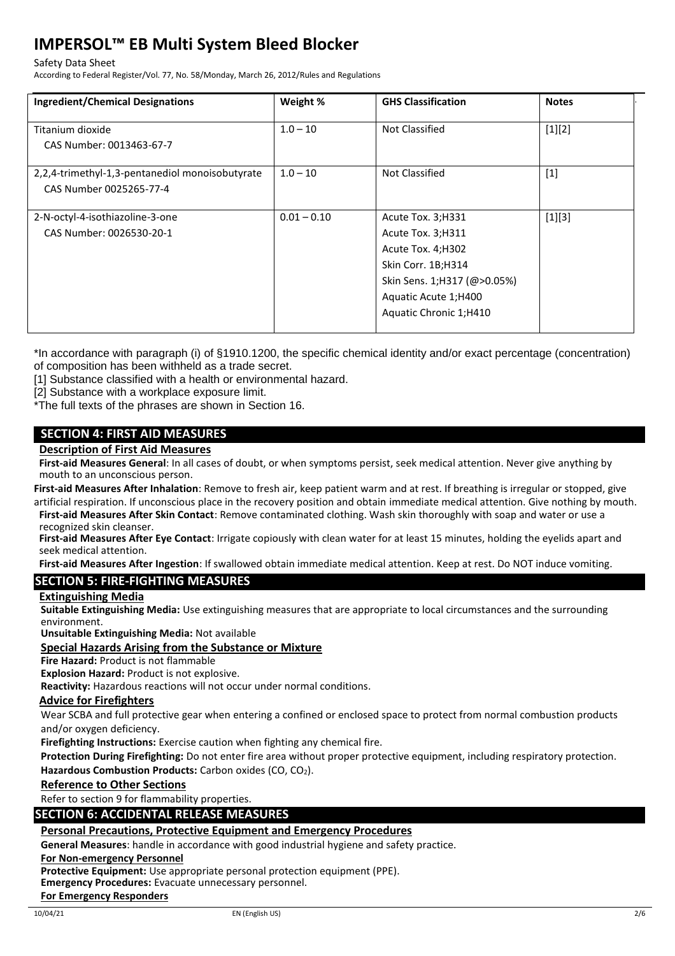#### Safety Data Sheet

According to Federal Register/Vol. 77, No. 58/Monday, March 26, 2012/Rules and Regulations

| <b>Ingredient/Chemical Designations</b>                                    | Weight %      | <b>GHS Classification</b>                                                                                                                                            | <b>Notes</b> |
|----------------------------------------------------------------------------|---------------|----------------------------------------------------------------------------------------------------------------------------------------------------------------------|--------------|
| Titanium dioxide<br>CAS Number: 0013463-67-7                               | $1.0 - 10$    | Not Classified                                                                                                                                                       | $[1][2]$     |
| 2,2,4-trimethyl-1,3-pentanediol monoisobutyrate<br>CAS Number 0025265-77-4 | $1.0 - 10$    | Not Classified                                                                                                                                                       | $[1]$        |
| 2-N-octyl-4-isothiazoline-3-one<br>CAS Number: 0026530-20-1                | $0.01 - 0.10$ | Acute Tox. 3; H331<br>Acute Tox. 3; H311<br>Acute Tox. 4;H302<br>Skin Corr. 1B;H314<br>Skin Sens. 1;H317 (@>0.05%)<br>Aquatic Acute 1;H400<br>Aquatic Chronic 1;H410 | $[1][3]$     |

\*In accordance with paragraph (i) of §1910.1200, the specific chemical identity and/or exact percentage (concentration) of composition has been withheld as a trade secret.

[1] Substance classified with a health or environmental hazard.

[2] Substance with a workplace exposure limit.

\*The full texts of the phrases are shown in Section 16.

# **SECTION 4: FIRST AID MEASURES**

#### **Description of First Aid Measures**

**First-aid Measures General**: In all cases of doubt, or when symptoms persist, seek medical attention. Never give anything by mouth to an unconscious person.

**First-aid Measures After Inhalation**: Remove to fresh air, keep patient warm and at rest. If breathing is irregular or stopped, give artificial respiration. If unconscious place in the recovery position and obtain immediate medical attention. Give nothing by mouth.

**First-aid Measures After Skin Contact**: Remove contaminated clothing. Wash skin thoroughly with soap and water or use a recognized skin cleanser.

**First-aid Measures After Eye Contact**: Irrigate copiously with clean water for at least 15 minutes, holding the eyelids apart and seek medical attention.

**First-aid Measures After Ingestion**: If swallowed obtain immediate medical attention. Keep at rest. Do NOT induce vomiting.

# **SECTION 5: FIRE-FIGHTING MEASURES**

#### **Extinguishing Media**

**Suitable Extinguishing Media:** Use extinguishing measures that are appropriate to local circumstances and the surrounding environment.

**Unsuitable Extinguishing Media:** Not available

#### **Special Hazards Arising from the Substance or Mixture**

**Fire Hazard:** Product is not flammable

**Explosion Hazard:** Product is not explosive.

**Reactivity:** Hazardous reactions will not occur under normal conditions.

#### **Advice for Firefighters**

Wear SCBA and full protective gear when entering a confined or enclosed space to protect from normal combustion products and/or oxygen deficiency.

**Firefighting Instructions:** Exercise caution when fighting any chemical fire.

**Protection During Firefighting:** Do not enter fire area without proper protective equipment, including respiratory protection. Hazardous Combustion Products: Carbon oxides (CO, CO<sub>2</sub>).

#### **Reference to Other Sections**

Refer to section 9 for flammability properties.

#### **SECTION 6: ACCIDENTAL RELEASE MEASURES**

#### **Personal Precautions, Protective Equipment and Emergency Procedures**

**General Measures**: handle in accordance with good industrial hygiene and safety practice.

#### **For Non-emergency Personnel**

**Protective Equipment:** Use appropriate personal protection equipment (PPE).

**Emergency Procedures:** Evacuate unnecessary personnel.

#### **For Emergency Responders**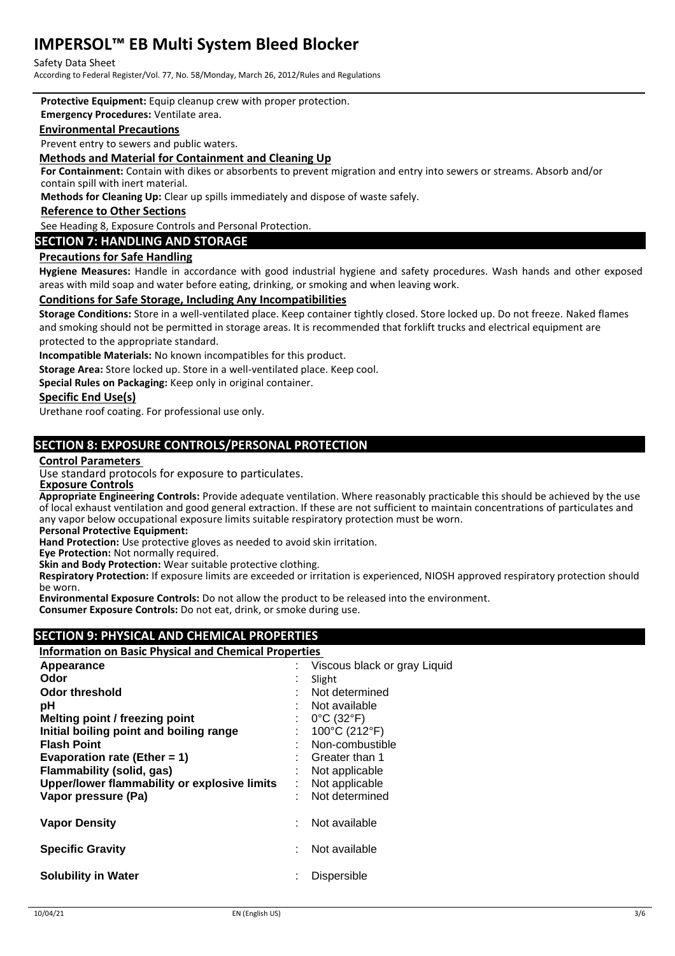#### Safety Data Sheet

According to Federal Register/Vol. 77, No. 58/Monday, March 26, 2012/Rules and Regulations

**Protective Equipment:** Equip cleanup crew with proper protection.

#### **Emergency Procedures:** Ventilate area.

#### **Environmental Precautions**

Prevent entry to sewers and public waters.

#### **Methods and Material for Containment and Cleaning Up**

**For Containment:** Contain with dikes or absorbents to prevent migration and entry into sewers or streams. Absorb and/or contain spill with inert material.

**Methods for Cleaning Up:** Clear up spills immediately and dispose of waste safely.

#### **Reference to Other Sections**

See Heading 8, Exposure Controls and Personal Protection.

# **SECTION 7: HANDLING AND STORAGE**

#### **Precautions for Safe Handling**

**Hygiene Measures:** Handle in accordance with good industrial hygiene and safety procedures. Wash hands and other exposed areas with mild soap and water before eating, drinking, or smoking and when leaving work.

#### **Conditions for Safe Storage, Including Any Incompatibilities**

**Storage Conditions:** Store in a well-ventilated place. Keep container tightly closed. Store locked up. Do not freeze. Naked flames and smoking should not be permitted in storage areas. It is recommended that forklift trucks and electrical equipment are protected to the appropriate standard.

**Incompatible Materials:** No known incompatibles for this product.

**Storage Area:** Store locked up. Store in a well-ventilated place. Keep cool.

**Special Rules on Packaging:** Keep only in original container.

#### **Specific End Use(s)**

Urethane roof coating. For professional use only.

# **SECTION 8: EXPOSURE CONTROLS/PERSONAL PROTECTION**

#### **Control Parameters**

Use standard protocols for exposure to particulates.

 **Exposure Controls**

**Appropriate Engineering Controls:** Provide adequate ventilation. Where reasonably practicable this should be achieved by the use of local exhaust ventilation and good general extraction. If these are not sufficient to maintain concentrations of particulates and any vapor below occupational exposure limits suitable respiratory protection must be worn.

**Personal Protective Equipment:**

**Hand Protection:** Use protective gloves as needed to avoid skin irritation.

**Eye Protection:** Not normally required.

**Skin and Body Protection:** Wear suitable protective clothing.

**Respiratory Protection:** If exposure limits are exceeded or irritation is experienced, NIOSH approved respiratory protection should be worn.

**Environmental Exposure Controls:** Do not allow the product to be released into the environment. **Consumer Exposure Controls:** Do not eat, drink, or smoke during use.

# **SECTION 9: PHYSICAL AND CHEMICAL PROPERTIES**

#### **Information on Basic Physical and Chemical Properties**

| Appearance                                   |     | Viscous black or gray Liquid    |
|----------------------------------------------|-----|---------------------------------|
| Odor                                         | ×.  | Slight                          |
| Odor threshold                               |     | Not determined                  |
| рH                                           |     | Not available                   |
| Melting point / freezing point               |     | $0^{\circ}$ C (32 $^{\circ}$ F) |
| Initial boiling point and boiling range      |     | 100°C (212°F)                   |
| <b>Flash Point</b>                           |     | Non-combustible                 |
| Evaporation rate (Ether = 1)                 |     | Greater than 1                  |
| Flammability (solid, gas)                    |     | Not applicable                  |
| Upper/lower flammability or explosive limits | t i | Not applicable                  |
| Vapor pressure (Pa)                          |     | Not determined                  |
| <b>Vapor Density</b>                         |     | Not available                   |
| <b>Specific Gravity</b>                      |     | Not available                   |
| <b>Solubility in Water</b>                   |     | Dispersible                     |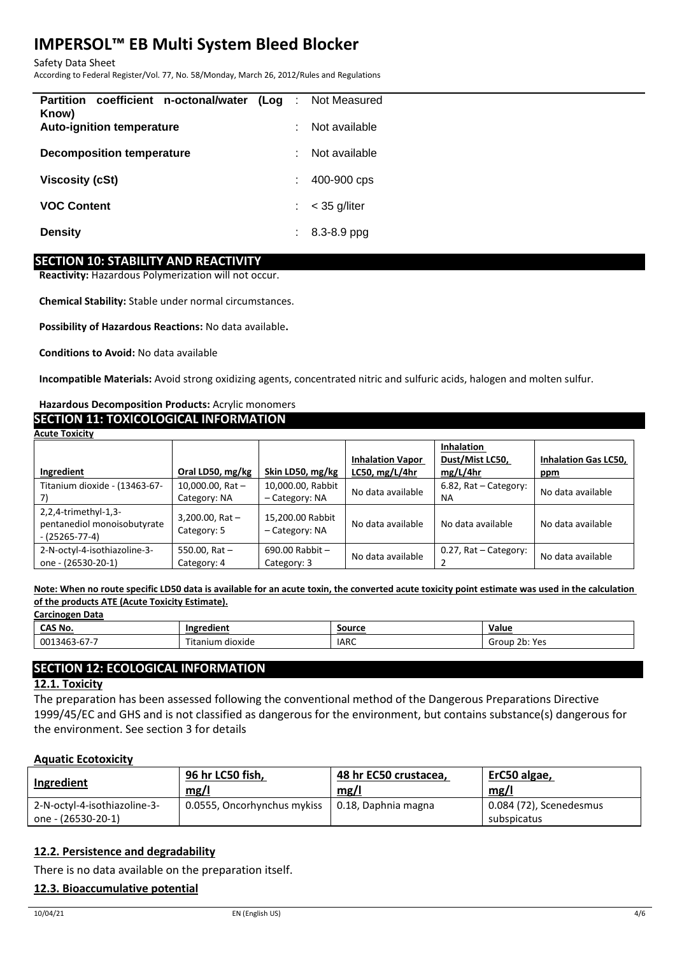Safety Data Sheet

According to Federal Register/Vol. 77, No. 58/Monday, March 26, 2012/Rules and Regulations

| Partition coefficient n-octonal/water (Log :<br>Know) |           | Not Measured   |
|-------------------------------------------------------|-----------|----------------|
| <b>Auto-ignition temperature</b>                      | $\bullet$ | Not available  |
| <b>Decomposition temperature</b>                      | $\sim$    | Not available  |
| <b>Viscosity (cSt)</b>                                | ÷         | 400-900 cps    |
| <b>VOC Content</b>                                    | ÷.        | $<$ 35 g/liter |
| <b>Density</b>                                        | ÷.        | 8.3-8.9 ppg    |
|                                                       |           |                |

# **SECTION 10: STABILITY AND REACTIVITY**

**Reactivity:** Hazardous Polymerization will not occur.

**Chemical Stability:** Stable under normal circumstances.

**Possibility of Hazardous Reactions:** No data available**.**

**Conditions to Avoid:** No data available

**Incompatible Materials:** Avoid strong oxidizing agents, concentrated nitric and sulfuric acids, halogen and molten sulfur.

# **Hazardous Decomposition Products:** Acrylic monomers

# **SECTION 11: TOXICOLOGICAL INFORMATION**

| <b>Acute Toxicity</b>         |                    |                     |                                        |                       |                             |
|-------------------------------|--------------------|---------------------|----------------------------------------|-----------------------|-----------------------------|
|                               |                    |                     |                                        | <b>Inhalation</b>     |                             |
|                               |                    |                     | <b>Inhalation Vapor</b>                | Dust/Mist LC50,       | <b>Inhalation Gas LC50,</b> |
| Ingredient                    | Oral LD50, mg/kg   | Skin LD50, mg/kg    | LC50, $mg/L/4hr$                       | mg/L/4hr              | ppm                         |
| Titanium dioxide - (13463-67- | 10,000.00, Rat $-$ | 10,000.00, Rabbit   | No data available                      | 6.82, Rat - Category: | No data available           |
|                               | Category: NA       | - Category: NA      |                                        | NA.                   |                             |
| $2,2,4$ -trimethyl-1,3-       | 3,200.00, Rat $-$  | 15,200.00 Rabbit    |                                        |                       |                             |
| pentanediol monoisobutyrate   | Category: 5        | - Category: NA      | No data available<br>No data available | No data available     |                             |
| $-(25265-77-4)$               |                    |                     |                                        |                       |                             |
| 2-N-octyl-4-isothiazoline-3-  | 550.00, Rat $-$    | $690.00$ Rabbit $-$ | No data available                      | 0.27, Rat - Category: | No data available           |
| one - (26530-20-1)            | Category: 4        | Category: 3         |                                        |                       |                             |

**Note: When no route specific LD50 data is available for an acute toxin, the converted acute toxicity point estimate was used in the calculation of the products ATE (Acute Toxicity Estimate). Carcinogen Data**

| <b>COLORED PULL</b>  |                   |             |                                       |  |  |
|----------------------|-------------------|-------------|---------------------------------------|--|--|
| CAS No.              | . .<br>Ingredient | Source      | Value                                 |  |  |
| $3463 - 67 -$<br>001 | Titanium dioxide  | <b>IARC</b> | つい<br>∵Voc<br>Group<br><b>LU. ILJ</b> |  |  |

# **SECTION 12: ECOLOGICAL INFORMATION**

#### **12.1. Toxicity**

The preparation has been assessed following the conventional method of the Dangerous Preparations Directive 1999/45/EC and GHS and is not classified as dangerous for the environment, but contains substance(s) dangerous for the environment. See section 3 for details

#### **Aquatic Ecotoxicity**

| Ingredient                                         | 96 hr LC50 fish,            | 48 hr EC50 crustacea. | ErC50 algae,                           |
|----------------------------------------------------|-----------------------------|-----------------------|----------------------------------------|
|                                                    | mg/l                        | mg/l                  | mg/l                                   |
| 2-N-octyl-4-isothiazoline-3-<br>one - (26530-20-1) | 0.0555, Oncorhynchus mykiss | 0.18, Daphnia magna   | 0.084 (72), Scenedesmus<br>subspicatus |

# **12.2. Persistence and degradability**

There is no data available on the preparation itself.

# **12.3. Bioaccumulative potential**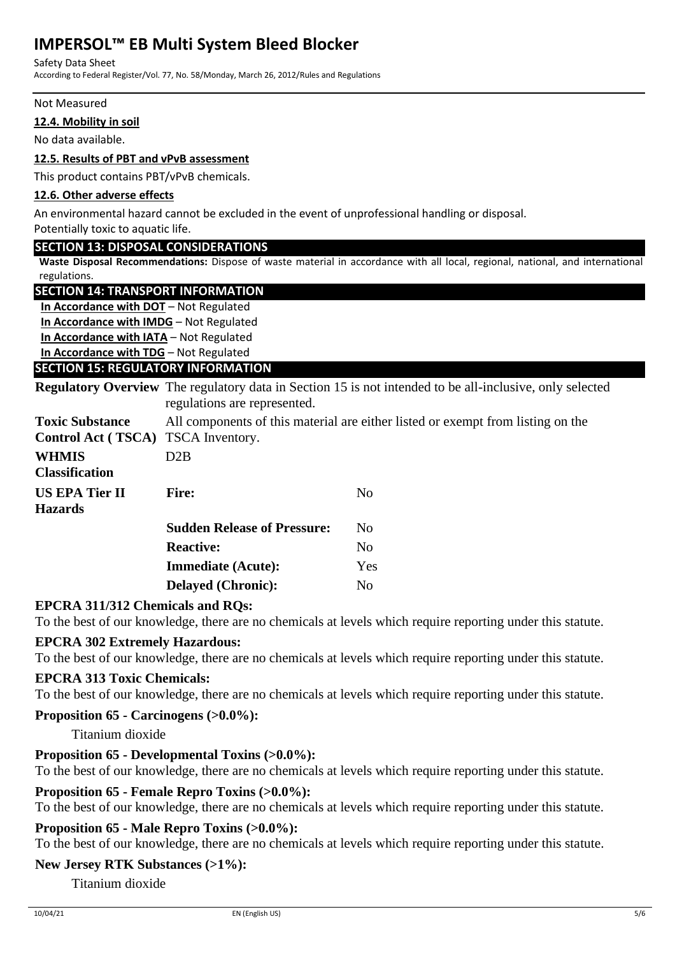#### Safety Data Sheet

According to Federal Register/Vol. 77, No. 58/Monday, March 26, 2012/Rules and Regulations

#### Not Measured

# **12.4. Mobility in soil**

No data available.

# **12.5. Results of PBT and vPvB assessment**

This product contains PBT/vPvB chemicals.

# **12.6. Other adverse effects**

An environmental hazard cannot be excluded in the event of unprofessional handling or disposal.

Potentially toxic to aquatic life.

# **SECTION 13: DISPOSAL CONSIDERATIONS**

**Waste Disposal Recommendations:** Dispose of waste material in accordance with all local, regional, national, and international regulations.

# **SECTION 14: TRANSPORT INFORMATION**

**In Accordance with DOT** – Not Regulated **In Accordance with IMDG** – Not Regulated **In Accordance with IATA** – Not Regulated **In Accordance with TDG** – Not Regulated

# **SECTION 15: REGULATORY INFORMATION**

**Regulatory Overview** The regulatory data in Section 15 is not intended to be all-inclusive, only selected regulations are represented.

| <b>Toxic Substance</b><br>Control Act (TSCA) TSCA Inventory. | All components of this material are either listed or exempt from listing on the |                |  |  |
|--------------------------------------------------------------|---------------------------------------------------------------------------------|----------------|--|--|
| <b>WHMIS</b><br><b>Classification</b>                        | D2B                                                                             |                |  |  |
| <b>US EPA Tier II</b><br><b>Hazards</b>                      | <b>Fire:</b>                                                                    | N <sub>0</sub> |  |  |
|                                                              | <b>Sudden Release of Pressure:</b>                                              | No.            |  |  |
|                                                              | <b>Reactive:</b>                                                                | No             |  |  |
|                                                              | <b>Immediate (Acute):</b>                                                       | Yes            |  |  |
|                                                              | <b>Delayed (Chronic):</b>                                                       | No             |  |  |

# **EPCRA 311/312 Chemicals and RQs:**

To the best of our knowledge, there are no chemicals at levels which require reporting under this statute.

# **EPCRA 302 Extremely Hazardous:**

To the best of our knowledge, there are no chemicals at levels which require reporting under this statute.

# **EPCRA 313 Toxic Chemicals:**

To the best of our knowledge, there are no chemicals at levels which require reporting under this statute.

# **Proposition 65 - Carcinogens (>0.0%):**

Titanium dioxide

# **Proposition 65 - Developmental Toxins (>0.0%):**

To the best of our knowledge, there are no chemicals at levels which require reporting under this statute.

# **Proposition 65 - Female Repro Toxins (>0.0%):**

To the best of our knowledge, there are no chemicals at levels which require reporting under this statute.

# **Proposition 65 - Male Repro Toxins (>0.0%):**

To the best of our knowledge, there are no chemicals at levels which require reporting under this statute.

# **New Jersey RTK Substances (>1%):**

Titanium dioxide